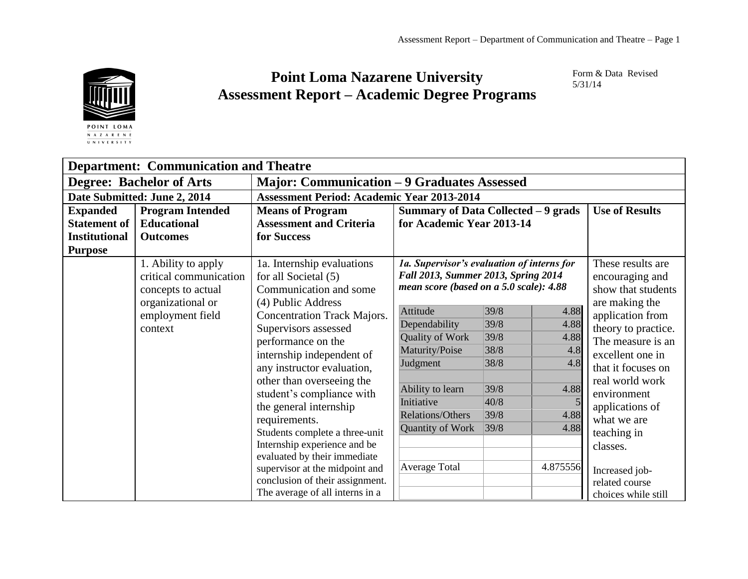

 $\overline{U \hspace{1mm} N \hspace{1mm} I \hspace{1mm} V \hspace{1mm} E \hspace{1mm} R \hspace{1mm} S \hspace{1mm} I \hspace{1mm} T \hspace{1mm} Y}}$ 

## **Point Loma Nazarene University Assessment Report – Academic Degree Programs**

Form & Data Revised 5/31/14

| <b>Department: Communication and Theatre</b> |                         |                                                    |                                                                                                                              |      |                    |                       |
|----------------------------------------------|-------------------------|----------------------------------------------------|------------------------------------------------------------------------------------------------------------------------------|------|--------------------|-----------------------|
| <b>Degree: Bachelor of Arts</b>              |                         | <b>Major: Communication - 9 Graduates Assessed</b> |                                                                                                                              |      |                    |                       |
| Date Submitted: June 2, 2014                 |                         | <b>Assessment Period: Academic Year 2013-2014</b>  |                                                                                                                              |      |                    |                       |
| <b>Expanded</b>                              | <b>Program Intended</b> | <b>Means of Program</b>                            | Summary of Data Collected - 9 grads                                                                                          |      |                    | <b>Use of Results</b> |
| <b>Statement of</b>                          | <b>Educational</b>      | <b>Assessment and Criteria</b>                     | for Academic Year 2013-14                                                                                                    |      |                    |                       |
| <b>Institutional</b>                         | <b>Outcomes</b>         | for Success                                        |                                                                                                                              |      |                    |                       |
| <b>Purpose</b>                               |                         |                                                    |                                                                                                                              |      |                    |                       |
|                                              | 1. Ability to apply     | 1a. Internship evaluations                         | 1a. Supervisor's evaluation of interns for<br>Fall 2013, Summer 2013, Spring 2014<br>mean score (based on a 5.0 scale): 4.88 |      | These results are  |                       |
|                                              | critical communication  | for all Societal (5)                               |                                                                                                                              |      | encouraging and    |                       |
|                                              | concepts to actual      | Communication and some                             |                                                                                                                              |      | show that students |                       |
|                                              | organizational or       | (4) Public Address                                 |                                                                                                                              |      |                    | are making the        |
|                                              | employment field        | <b>Concentration Track Majors.</b>                 | Attitude                                                                                                                     | 39/8 | 4.88               | application from      |
|                                              | context                 | Supervisors assessed                               | Dependability                                                                                                                | 39/8 | 4.88               | theory to practice.   |
|                                              |                         | performance on the                                 | Quality of Work                                                                                                              | 39/8 | 4.88               | The measure is an     |
|                                              |                         | internship independent of                          | Maturity/Poise                                                                                                               | 38/8 | 4.8                | excellent one in      |
|                                              |                         | any instructor evaluation,                         | Judgment                                                                                                                     | 38/8 | 4.8                | that it focuses on    |
|                                              |                         | other than overseeing the                          |                                                                                                                              |      |                    | real world work       |
|                                              |                         | student's compliance with                          | Ability to learn                                                                                                             | 39/8 | 4.88               | environment           |
|                                              |                         | the general internship                             | Initiative                                                                                                                   | 40/8 |                    | applications of       |
|                                              |                         | requirements.                                      | Relations/Others                                                                                                             | 39/8 | 4.88               | what we are           |
|                                              |                         | Students complete a three-unit                     | Quantity of Work                                                                                                             | 39/8 | 4.88               | teaching in           |
|                                              |                         | Internship experience and be                       |                                                                                                                              |      |                    | classes.              |
|                                              |                         | evaluated by their immediate                       |                                                                                                                              |      |                    |                       |
|                                              |                         | supervisor at the midpoint and                     | Average Total                                                                                                                |      | 4.875556           | Increased job-        |
|                                              |                         | conclusion of their assignment.                    |                                                                                                                              |      |                    | related course        |
|                                              |                         | The average of all interns in a                    |                                                                                                                              |      |                    | choices while still   |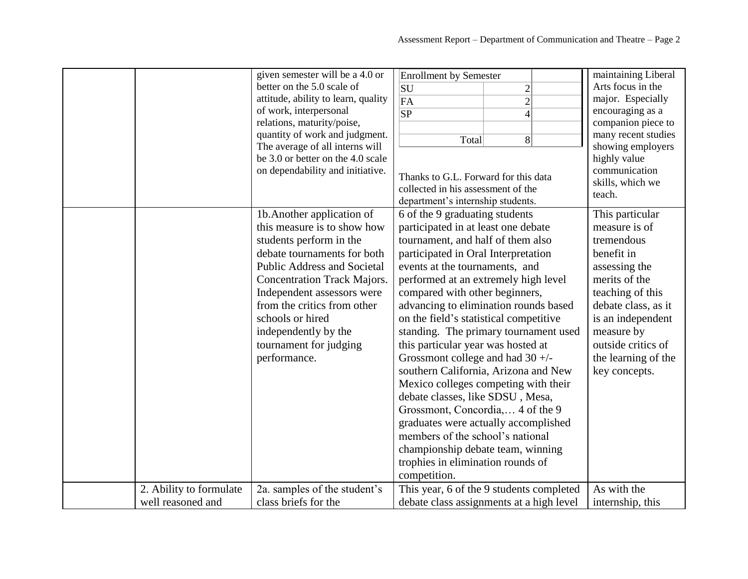|                                              | given semester will be a 4.0 or<br>better on the 5.0 scale of<br>attitude, ability to learn, quality<br>of work, interpersonal<br>relations, maturity/poise,<br>quantity of work and judgment.<br>The average of all interns will<br>be 3.0 or better on the 4.0 scale<br>on dependability and initiative.                                         | <b>Enrollment by Semester</b><br>$\overline{c}$<br><b>SU</b><br>$\overline{2}$<br>FA<br>$\overline{\text{SP}}$<br>$\overline{4}$<br>$8\,$<br>Total<br>Thanks to G.L. Forward for this data<br>collected in his assessment of the<br>department's internship students.                                                                                                                                                                                                                                                                                                                                                                                                                                                                                                                               | maintaining Liberal<br>Arts focus in the<br>major. Especially<br>encouraging as a<br>companion piece to<br>many recent studies<br>showing employers<br>highly value<br>communication<br>skills, which we<br>teach.                         |
|----------------------------------------------|----------------------------------------------------------------------------------------------------------------------------------------------------------------------------------------------------------------------------------------------------------------------------------------------------------------------------------------------------|-----------------------------------------------------------------------------------------------------------------------------------------------------------------------------------------------------------------------------------------------------------------------------------------------------------------------------------------------------------------------------------------------------------------------------------------------------------------------------------------------------------------------------------------------------------------------------------------------------------------------------------------------------------------------------------------------------------------------------------------------------------------------------------------------------|--------------------------------------------------------------------------------------------------------------------------------------------------------------------------------------------------------------------------------------------|
|                                              | 1b. Another application of<br>this measure is to show how<br>students perform in the<br>debate tournaments for both<br><b>Public Address and Societal</b><br><b>Concentration Track Majors.</b><br>Independent assessors were<br>from the critics from other<br>schools or hired<br>independently by the<br>tournament for judging<br>performance. | 6 of the 9 graduating students<br>participated in at least one debate<br>tournament, and half of them also<br>participated in Oral Interpretation<br>events at the tournaments, and<br>performed at an extremely high level<br>compared with other beginners,<br>advancing to elimination rounds based<br>on the field's statistical competitive<br>standing. The primary tournament used<br>this particular year was hosted at<br>Grossmont college and had $30 +/-$<br>southern California, Arizona and New<br>Mexico colleges competing with their<br>debate classes, like SDSU, Mesa,<br>Grossmont, Concordia, 4 of the 9<br>graduates were actually accomplished<br>members of the school's national<br>championship debate team, winning<br>trophies in elimination rounds of<br>competition. | This particular<br>measure is of<br>tremendous<br>benefit in<br>assessing the<br>merits of the<br>teaching of this<br>debate class, as it<br>is an independent<br>measure by<br>outside critics of<br>the learning of the<br>key concepts. |
| 2. Ability to formulate<br>well reasoned and | 2a. samples of the student's<br>class briefs for the                                                                                                                                                                                                                                                                                               | This year, 6 of the 9 students completed<br>debate class assignments at a high level                                                                                                                                                                                                                                                                                                                                                                                                                                                                                                                                                                                                                                                                                                                | As with the<br>internship, this                                                                                                                                                                                                            |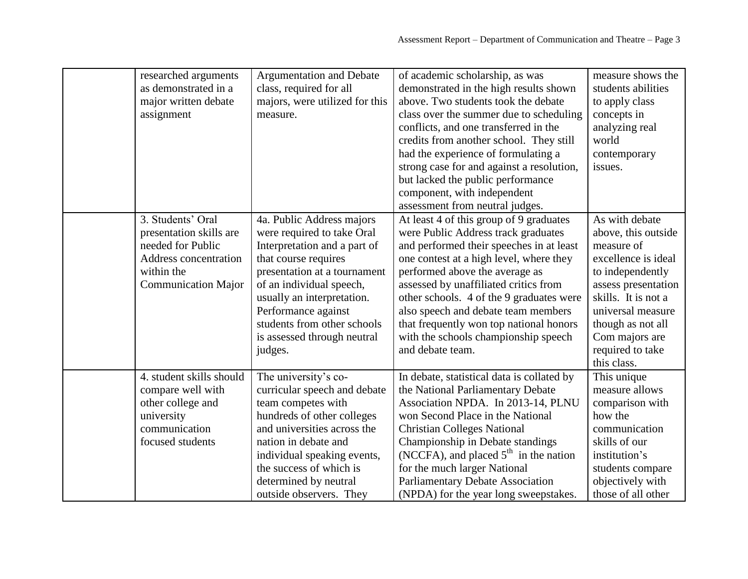| researched arguments<br>as demonstrated in a<br>major written debate<br>assignment                                                     | <b>Argumentation and Debate</b><br>class, required for all<br>majors, were utilized for this<br>measure.                                                                                                                                                                                                  | of academic scholarship, as was<br>demonstrated in the high results shown<br>above. Two students took the debate<br>class over the summer due to scheduling<br>conflicts, and one transferred in the<br>credits from another school. They still<br>had the experience of formulating a<br>strong case for and against a resolution,<br>but lacked the public performance<br>component, with independent<br>assessment from neutral judges. | measure shows the<br>students abilities<br>to apply class<br>concepts in<br>analyzing real<br>world<br>contemporary<br>issues.                                                                                                              |
|----------------------------------------------------------------------------------------------------------------------------------------|-----------------------------------------------------------------------------------------------------------------------------------------------------------------------------------------------------------------------------------------------------------------------------------------------------------|--------------------------------------------------------------------------------------------------------------------------------------------------------------------------------------------------------------------------------------------------------------------------------------------------------------------------------------------------------------------------------------------------------------------------------------------|---------------------------------------------------------------------------------------------------------------------------------------------------------------------------------------------------------------------------------------------|
| 3. Students' Oral<br>presentation skills are<br>needed for Public<br>Address concentration<br>within the<br><b>Communication Major</b> | 4a. Public Address majors<br>were required to take Oral<br>Interpretation and a part of<br>that course requires<br>presentation at a tournament<br>of an individual speech,<br>usually an interpretation.<br>Performance against<br>students from other schools<br>is assessed through neutral<br>judges. | At least 4 of this group of 9 graduates<br>were Public Address track graduates<br>and performed their speeches in at least<br>one contest at a high level, where they<br>performed above the average as<br>assessed by unaffiliated critics from<br>other schools. 4 of the 9 graduates were<br>also speech and debate team members<br>that frequently won top national honors<br>with the schools championship speech<br>and debate team. | As with debate<br>above, this outside<br>measure of<br>excellence is ideal<br>to independently<br>assess presentation<br>skills. It is not a<br>universal measure<br>though as not all<br>Com majors are<br>required to take<br>this class. |
| 4. student skills should<br>compare well with<br>other college and<br>university<br>communication<br>focused students                  | The university's co-<br>curricular speech and debate<br>team competes with<br>hundreds of other colleges<br>and universities across the<br>nation in debate and<br>individual speaking events,<br>the success of which is<br>determined by neutral<br>outside observers. They                             | In debate, statistical data is collated by<br>the National Parliamentary Debate<br>Association NPDA. In 2013-14, PLNU<br>won Second Place in the National<br><b>Christian Colleges National</b><br>Championship in Debate standings<br>(NCCFA), and placed $5th$ in the nation<br>for the much larger National<br><b>Parliamentary Debate Association</b><br>(NPDA) for the year long sweepstakes.                                         | This unique<br>measure allows<br>comparison with<br>how the<br>communication<br>skills of our<br>institution's<br>students compare<br>objectively with<br>those of all other                                                                |